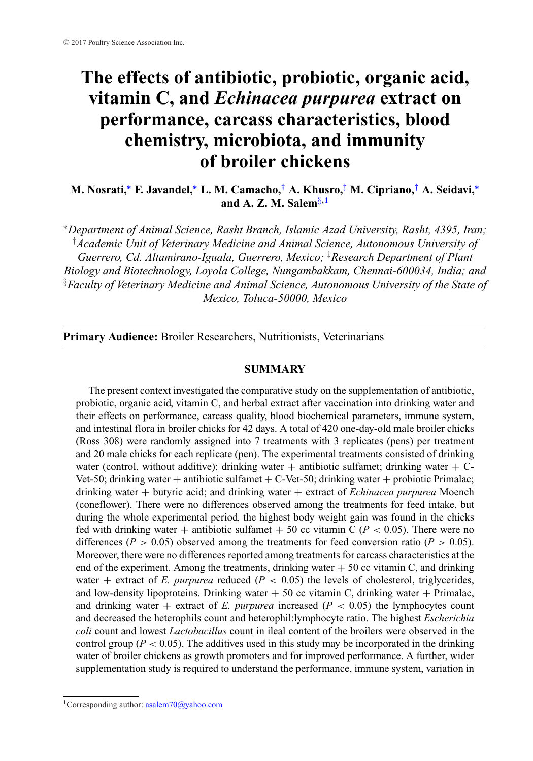# **The effects of antibiotic, probiotic, organic acid, vitamin C, and** *Echinacea purpurea* **extract on performance, carcass characteristics, blood chemistry, microbiota, and immunity of broiler chickens**

**M. Nosrati,[∗](#page-0-0) F. Javandel,[∗](#page-0-0) L. M. Camacho,***[†](#page-0-1)* **A. Khusro,**[‡](#page-0-2) **M. Cipriano,***[†](#page-0-1)* **A. Seidavi,[∗](#page-0-0) and A. Z. M. Salem**[§](#page-0-3)**,1**

<span id="page-0-1"></span><span id="page-0-0"></span>∗*Department of Animal Science, Rasht Branch, Islamic Azad University, Rasht, 4395, Iran;* † *Academic Unit of Veterinary Medicine and Animal Science, Autonomous University of Guerrero, Cd. Altamirano-Iguala, Guerrero, Mexico;* ‡ *Research Department of Plant Biology and Biotechnology, Loyola College, Nungambakkam, Chennai-600034, India; and* § *Faculty of Veterinary Medicine and Animal Science, Autonomous University of the State of Mexico, Toluca-50000, Mexico*

<span id="page-0-3"></span>**Primary Audience:** Broiler Researchers, Nutritionists, Veterinarians

# <span id="page-0-2"></span>**SUMMARY**

The present context investigated the comparative study on the supplementation of antibiotic, probiotic, organic acid, vitamin C, and herbal extract after vaccination into drinking water and their effects on performance, carcass quality, blood biochemical parameters, immune system, and intestinal flora in broiler chicks for 42 days. A total of 420 one-day-old male broiler chicks (Ross 308) were randomly assigned into 7 treatments with 3 replicates (pens) per treatment and 20 male chicks for each replicate (pen). The experimental treatments consisted of drinking water (control, without additive); drinking water  $+$  antibiotic sulfamet; drinking water  $+$  C-Vet-50; drinking water + antibiotic sulfamet + C-Vet-50; drinking water + probiotic Primalac; drinking water + butyric acid; and drinking water + extract of *Echinacea purpurea* Moench (coneflower). There were no differences observed among the treatments for feed intake, but during the whole experimental period, the highest body weight gain was found in the chicks fed with drinking water + antibiotic sulfamet + 50 cc vitamin C ( $P < 0.05$ ). There were no differences ( $P > 0.05$ ) observed among the treatments for feed conversion ratio ( $P > 0.05$ ). Moreover, there were no differences reported among treatments for carcass characteristics at the end of the experiment. Among the treatments, drinking water  $+50$  cc vitamin C, and drinking water  $+$  extract of *E. purpurea* reduced ( $P < 0.05$ ) the levels of cholesterol, triglycerides, and low-density lipoproteins. Drinking water  $+50$  cc vitamin C, drinking water  $+$  Primalac, and drinking water + extract of  $E$ . *purpurea* increased ( $P < 0.05$ ) the lymphocytes count and decreased the heterophils count and heterophil:lymphocyte ratio. The highest *Escherichia coli* count and lowest *Lactobacillus* count in ileal content of the broilers were observed in the control group ( $P < 0.05$ ). The additives used in this study may be incorporated in the drinking water of broiler chickens as growth promoters and for improved performance. A further, wider supplementation study is required to understand the performance, immune system, variation in

<sup>&</sup>lt;sup>1</sup>Corresponding author:  $asalem70@yahoo.com$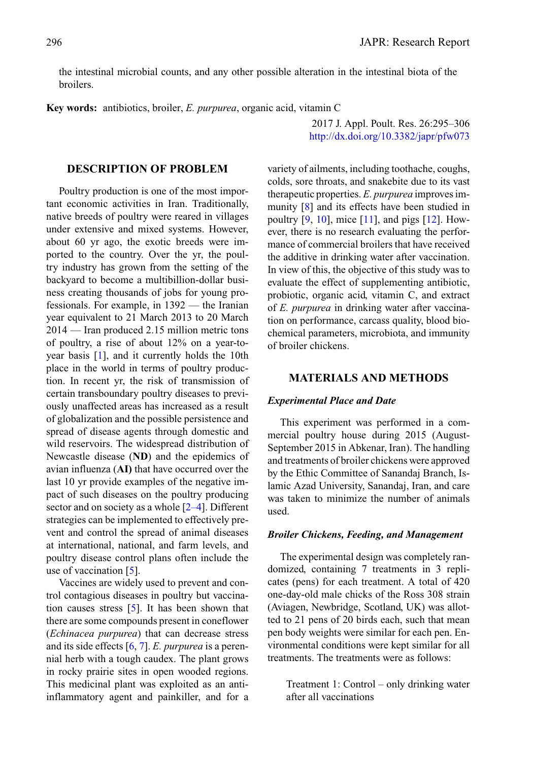2017 J. Appl. Poult. Res. 26:295–306 <http://dx.doi.org/10.3382/japr/pfw073>

the intestinal microbial counts, and any other possible alteration in the intestinal biota of the broilers.

**Key words:** antibiotics, broiler, *E. purpurea*, organic acid, vitamin C

### **DESCRIPTION OF PROBLEM**

Poultry production is one of the most important economic activities in Iran. Traditionally, native breeds of poultry were reared in villages under extensive and mixed systems. However, about 60 yr ago, the exotic breeds were imported to the country. Over the yr, the poultry industry has grown from the setting of the backyard to become a multibillion-dollar business creating thousands of jobs for young professionals. For example, in 1392 — the Iranian year equivalent to 21 March 2013 to 20 March 2014 — Iran produced 2.15 million metric tons of poultry, a rise of about 12% on a year-toyear basis [\[1\]](#page-9-0), and it currently holds the 10th place in the world in terms of poultry production. In recent yr, the risk of transmission of certain transboundary poultry diseases to previously unaffected areas has increased as a result of globalization and the possible persistence and spread of disease agents through domestic and wild reservoirs. The widespread distribution of Newcastle disease (**ND**) and the epidemics of avian influenza (**AI)** that have occurred over the last 10 yr provide examples of the negative impact of such diseases on the poultry producing sector and on society as a whole  $[2-4]$ . Different strategies can be implemented to effectively prevent and control the spread of animal diseases at international, national, and farm levels, and poultry disease control plans often include the use of vaccination [\[5\]](#page-9-1).

Vaccines are widely used to prevent and control contagious diseases in poultry but vaccination causes stress [\[5\]](#page-9-1). It has been shown that there are some compounds present in coneflower (*Echinacea purpurea*) that can decrease stress and its side effects [\[6,](#page-9-2) [7\]](#page-9-3). *E. purpurea* is a perennial herb with a tough caudex. The plant grows in rocky prairie sites in open wooded regions. This medicinal plant was exploited as an antiinflammatory agent and painkiller, and for a

variety of ailments, including toothache, coughs, colds, sore throats, and snakebite due to its vast therapeutic properties. *E. purpurea* improves immunity [\[8\]](#page-9-4) and its effects have been studied in poultry  $[9, 10]$  $[9, 10]$  $[9, 10]$ , mice  $[11]$ , and pigs  $[12]$ . However, there is no research evaluating the performance of commercial broilers that have received the additive in drinking water after vaccination. In view of this, the objective of this study was to evaluate the effect of supplementing antibiotic, probiotic, organic acid, vitamin C, and extract of *E. purpurea* in drinking water after vaccination on performance, carcass quality, blood biochemical parameters, microbiota, and immunity of broiler chickens.

#### **MATERIALS AND METHODS**

## *Experimental Place and Date*

This experiment was performed in a commercial poultry house during 2015 (August-September 2015 in Abkenar, Iran). The handling and treatments of broiler chickens were approved by the Ethic Committee of Sanandaj Branch, Islamic Azad University, Sanandaj, Iran, and care was taken to minimize the number of animals used.

#### *Broiler Chickens, Feeding, and Management*

The experimental design was completely randomized, containing 7 treatments in 3 replicates (pens) for each treatment. A total of 420 one-day-old male chicks of the Ross 308 strain (Aviagen, Newbridge, Scotland, UK) was allotted to 21 pens of 20 birds each, such that mean pen body weights were similar for each pen. Environmental conditions were kept similar for all treatments. The treatments were as follows:

Treatment 1: Control – only drinking water after all vaccinations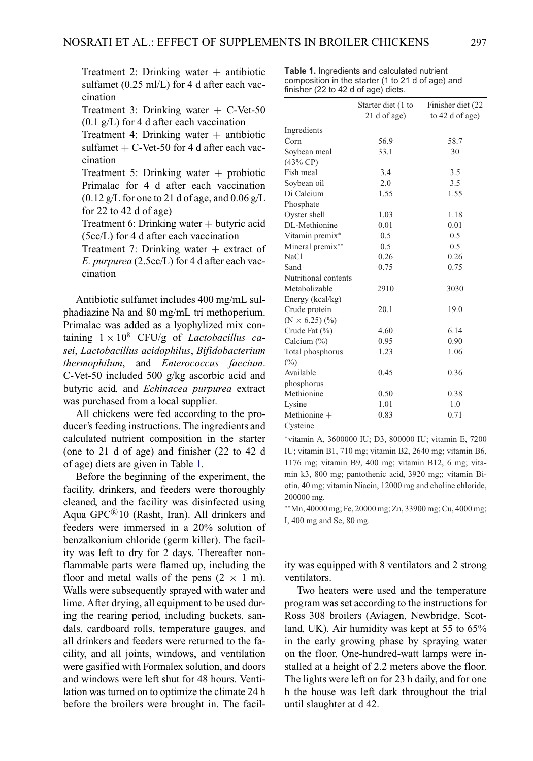Treatment 2: Drinking water  $+$  antibiotic sulfamet (0.25 ml/L) for 4 d after each vaccination

Treatment 3: Drinking water  $+$  C-Vet-50  $(0.1 \text{ g/L})$  for 4 d after each vaccination

Treatment 4: Drinking water  $+$  antibiotic sulfamet  $+$  C-Vet-50 for 4 d after each vaccination

Treatment 5: Drinking water  $+$  probiotic Primalac for 4 d after each vaccination  $(0.12 \text{ g/L}$  for one to 21 d of age, and  $0.06 \text{ g/L}$ for 22 to 42 d of age)

Treatment 6: Drinking water  $+$  butyric acid (5cc/L) for 4 d after each vaccination

Treatment 7: Drinking water  $+$  extract of *E. purpurea* (2.5cc/L) for 4 d after each vaccination

Antibiotic sulfamet includes 400 mg/mL sulphadiazine Na and 80 mg/mL tri methoperium. Primalac was added as a lyophylized mix containing  $1 \times 10^8$  CFU/g of *Lactobacillus casei*, *Lactobacillus acidophilus*, *Bifidobacterium thermophilum*, and *Enterococcus faecium*. C-Vet-50 included 500 g/kg ascorbic acid and butyric acid, and *Echinacea purpurea* extract was purchased from a local supplier.

All chickens were fed according to the producer's feeding instructions. The ingredients and calculated nutrient composition in the starter (one to 21 d of age) and finisher (22 to 42 d of age) diets are given in Table [1.](#page-2-0)

Before the beginning of the experiment, the facility, drinkers, and feeders were thoroughly cleaned, and the facility was disinfected using Aqua  $GPC^{(8)}10$  (Rasht, Iran). All drinkers and feeders were immersed in a 20% solution of benzalkonium chloride (germ killer). The facility was left to dry for 2 days. Thereafter nonflammable parts were flamed up, including the floor and metal walls of the pens  $(2 \times 1 \text{ m})$ . Walls were subsequently sprayed with water and lime. After drying, all equipment to be used during the rearing period, including buckets, sandals, cardboard rolls, temperature gauges, and all drinkers and feeders were returned to the facility, and all joints, windows, and ventilation were gasified with Formalex solution, and doors and windows were left shut for 48 hours. Ventilation was turned on to optimize the climate 24 h before the broilers were brought in. The facil-

<span id="page-2-0"></span>**Table 1.** Ingredients and calculated nutrient composition in the starter (1 to 21 d of age) and finisher (22 to 42 d of age) diets.

|                       | Starter diet (1 to | Finisher diet (22 |
|-----------------------|--------------------|-------------------|
|                       | 21 d of age)       | to 42 d of age)   |
| Ingredients           |                    |                   |
| Corn                  | 56.9               | 58.7              |
| Soybean meal          | 33.1               | 30                |
| (43% CP)              |                    |                   |
| Fish meal             | 3.4                | 3.5               |
| Soybean oil           | 2.0                | 3.5               |
| Di Calcium            | 1.55               | 1.55              |
| Phosphate             |                    |                   |
| Oyster shell          | 1.03               | 1.18              |
| DL-Methionine         | 0.01               | 0.01              |
| Vitamin premix*       | 0.5                | 0.5               |
| Mineral premix**      | 0.5                | 0.5               |
| NaCl                  | 0.26               | 0.26              |
| Sand                  | 0.75               | 0.75              |
| Nutritional contents  |                    |                   |
| Metabolizable         | 2910               | 3030              |
| Energy (kcal/kg)      |                    |                   |
| Crude protein         | 20.1               | 19.0              |
| $(N \times 6.25)$ (%) |                    |                   |
| Crude Fat $(\% )$     | 4.60               | 6.14              |
| Calcium $(\% )$       | 0.95               | 0.90              |
| Total phosphorus      | 1.23               | 1.06              |
| $(\%)$                |                    |                   |
| Available             | 0.45               | 0.36              |
| phosphorus            |                    |                   |
| Methionine            | 0.50               | 0.38              |
| Lysine                | 1.01               | 1.0               |
| Methionine $+$        | 0.83               | 0.71              |
| Cysteine              |                    |                   |

∗vitamin A, 3600000 IU; D3, 800000 IU; vitamin E, 7200 IU; vitamin B1, 710 mg; vitamin B2, 2640 mg; vitamin B6, 1176 mg; vitamin B9, 400 mg; vitamin B12, 6 mg; vitamin k3, 800 mg; pantothenic acid, 3920 mg;; vitamin Biotin, 40 mg; vitamin Niacin, 12000 mg and choline chloride, 200000 mg.

∗∗Mn, 40000 mg; Fe, 20000 mg; Zn, 33900 mg; Cu, 4000 mg; I, 400 mg and Se, 80 mg.

ity was equipped with 8 ventilators and 2 strong ventilators.

Two heaters were used and the temperature program was set according to the instructions for Ross 308 broilers (Aviagen, Newbridge, Scotland, UK). Air humidity was kept at 55 to 65% in the early growing phase by spraying water on the floor. One-hundred-watt lamps were installed at a height of 2.2 meters above the floor. The lights were left on for 23 h daily, and for one h the house was left dark throughout the trial until slaughter at d 42.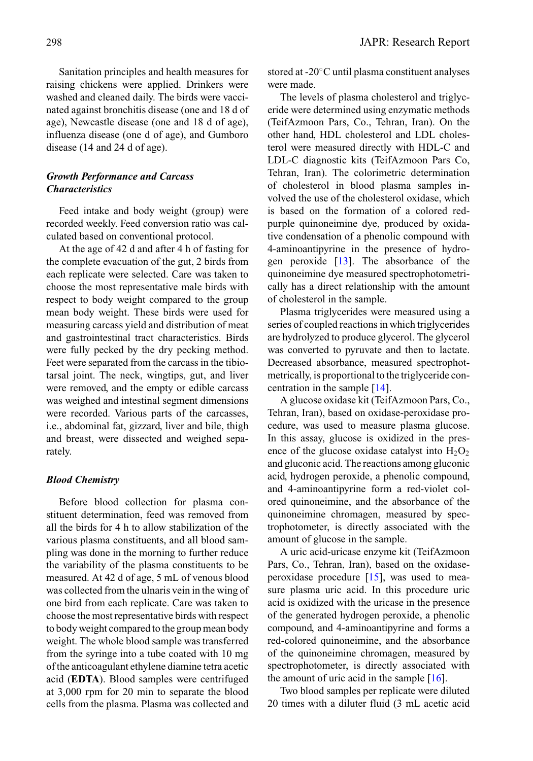Sanitation principles and health measures for raising chickens were applied. Drinkers were washed and cleaned daily. The birds were vaccinated against bronchitis disease (one and 18 d of age), Newcastle disease (one and 18 d of age), influenza disease (one d of age), and Gumboro disease (14 and 24 d of age).

# *Growth Performance and Carcass Characteristics*

Feed intake and body weight (group) were recorded weekly. Feed conversion ratio was calculated based on conventional protocol.

At the age of 42 d and after 4 h of fasting for the complete evacuation of the gut, 2 birds from each replicate were selected. Care was taken to choose the most representative male birds with respect to body weight compared to the group mean body weight. These birds were used for measuring carcass yield and distribution of meat and gastrointestinal tract characteristics. Birds were fully pecked by the dry pecking method. Feet were separated from the carcass in the tibiotarsal joint. The neck, wingtips, gut, and liver were removed, and the empty or edible carcass was weighed and intestinal segment dimensions were recorded. Various parts of the carcasses, i.e., abdominal fat, gizzard, liver and bile, thigh and breast, were dissected and weighed separately.

## *Blood Chemistry*

Before blood collection for plasma constituent determination, feed was removed from all the birds for 4 h to allow stabilization of the various plasma constituents, and all blood sampling was done in the morning to further reduce the variability of the plasma constituents to be measured. At 42 d of age, 5 mL of venous blood was collected from the ulnaris vein in the wing of one bird from each replicate. Care was taken to choose the most representative birds with respect to body weight compared to the group mean body weight. The whole blood sample was transferred from the syringe into a tube coated with 10 mg of the anticoagulant ethylene diamine tetra acetic acid (**EDTA**). Blood samples were centrifuged at 3,000 rpm for 20 min to separate the blood cells from the plasma. Plasma was collected and

stored at -20◦C until plasma constituent analyses were made.

The levels of plasma cholesterol and triglyceride were determined using enzymatic methods (TeifAzmoon Pars, Co., Tehran, Iran). On the other hand, HDL cholesterol and LDL cholesterol were measured directly with HDL-C and LDL-C diagnostic kits (TeifAzmoon Pars Co, Tehran, Iran). The colorimetric determination of cholesterol in blood plasma samples involved the use of the cholesterol oxidase, which is based on the formation of a colored redpurple quinoneimine dye, produced by oxidative condensation of a phenolic compound with 4-aminoantipyrine in the presence of hydrogen peroxide [\[13\]](#page-9-9). The absorbance of the quinoneimine dye measured spectrophotometrically has a direct relationship with the amount of cholesterol in the sample.

Plasma triglycerides were measured using a series of coupled reactions in which triglycerides are hydrolyzed to produce glycerol. The glycerol was converted to pyruvate and then to lactate. Decreased absorbance, measured spectrophotmetrically, is proportional to the triglyceride concentration in the sample [\[14\]](#page-10-0).

A glucose oxidase kit (TeifAzmoon Pars, Co., Tehran, Iran), based on oxidase-peroxidase procedure, was used to measure plasma glucose. In this assay, glucose is oxidized in the presence of the glucose oxidase catalyst into  $H_2O_2$ and gluconic acid. The reactions among gluconic acid, hydrogen peroxide, a phenolic compound, and 4-aminoantipyrine form a red-violet colored quinoneimine, and the absorbance of the quinoneimine chromagen, measured by spectrophotometer, is directly associated with the amount of glucose in the sample.

A uric acid-uricase enzyme kit (TeifAzmoon Pars, Co., Tehran, Iran), based on the oxidaseperoxidase procedure  $[15]$ , was used to measure plasma uric acid. In this procedure uric acid is oxidized with the uricase in the presence of the generated hydrogen peroxide, a phenolic compound, and 4-aminoantipyrine and forms a red-colored quinoneimine, and the absorbance of the quinoneimine chromagen, measured by spectrophotometer, is directly associated with the amount of uric acid i[n](#page-4-0) the sample [\[16\]](#page-10-2).

Two blood samples per replicate were diluted 20 times with a diluter fluid (3 mL acetic acid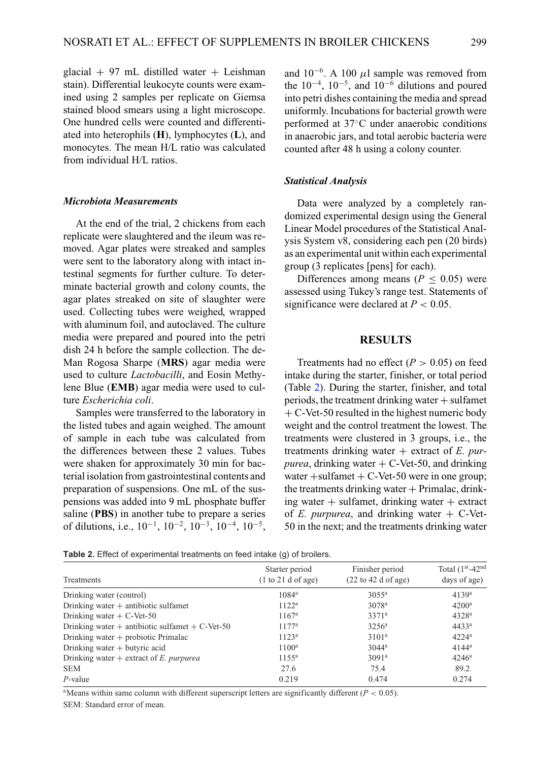glacial + 97 mL distilled water + Leishman stain). Differential leukocyte counts were examined using 2 samples per replicate on Giemsa stained blood smears using a light microscope. One hundred cells were counted and differentiated into heterophils (**H**), lymphocytes (**L**), and monocytes. The mean H/L ratio was calculated from individual H/L ratios.

## *Microbiota Measurements*

At the end of the trial, 2 chickens from each replicate were slaughtered and the ileum was removed. Agar plates were streaked and samples were sent to the laboratory along with intact intestinal segments for further culture. To determinate bacterial growth and colony counts, the agar plates streaked on site of slaughter were used. Collecting tubes were weighed, wrapped with aluminum foil, and autoclaved. The culture media were prepared and poured into the petri dish 24 h before the sample collection. The de-Man Rogosa Sharpe (**MRS**) agar media were used to culture *Lactobacilli*, and Eosin Methylene Blue (**EMB**) agar media were used to culture *Escherichia coli*.

Samples were transferred to the laboratory in the listed tubes and again weighed. The amount of sample in each tube was calculated from the differences between these 2 values. Tubes were shaken for approximately 30 min for bacterial isolation from gastrointestinal contents and preparation of suspensions. One mL of the suspensions was added into 9 mL phosphate buffer saline (**PBS**) in another tube to prepare a series of dilutions, i.e., 10−1, 10−2, 10−3, 10−4, 10−5, and  $10^{-6}$ . A 100  $\mu$ l sample was removed from the  $10^{-4}$ ,  $10^{-5}$ , and  $10^{-6}$  dilutions and poured into petri dishes containing the media and spread uniformly. Incubations for bacterial growth were performed at 37◦C under anaerobic conditions in anaerobic jars, and total aerobic bacteria were counted after 48 h using a colony counter.

#### *Statistical Analysis*

Data were analyzed by a completely randomized experimental design using the General Linear Model procedures of the Statistical Analysis System v8, considering each pen (20 birds) as an experimental unit within each experimental group (3 replicates [pens] for each).

Differences among means ( $P \leq 0.05$ ) were assessed using Tukey's range test. Statements of significance were declared at  $P < 0.05$ .

## **RESULTS**

Treatments had no effect  $(P > 0.05)$  on feed intake during the starter, finisher, or total period (Table [2\)](#page-4-0). During the starter, finisher, and total periods, the treatment drinking water  $+$  sulfamet  $+ C$ -Vet-50 resulted in the highest numeric body weight and the control treatment the lowest. The treatments were clustered in 3 groups, i.e., the treatments drinking water + extract of *E. purpurea*, drinking water  $+ C$ -Vet-50, and drinking water  $+$ sulfamet  $+$  C-Vet-50 were in one group; the treatments drinking water  $+$  Primalac, drinking water  $+$  sulfamet, drinking water  $+$  extract of *E. purpurea*, and drinking water  $+$  C-Vet-50 in the next; and the treatments drinking water

<span id="page-4-0"></span>**Table 2.** Effect of experimental treatments on feed intake (g) of broilers.

| Treatments                                         | Starter period<br>(1 to 21 d of age) | Finisher period<br>$(22 \text{ to } 42 \text{ d of age})$ | Total $(1st - 42nd)$<br>days of age) |
|----------------------------------------------------|--------------------------------------|-----------------------------------------------------------|--------------------------------------|
| Drinking water (control)                           | $1084^{\rm a}$                       | 30.55 <sup>a</sup>                                        | 4139 <sup>a</sup>                    |
| Drinking water $+$ antibiotic sulfamet             | $1122^a$                             | $3078^{\rm a}$                                            | $4200^a$                             |
| Drinking water $+ C$ -Vet-50                       | $1167^{\rm a}$                       | 3371 <sup>a</sup>                                         | $4328^{\rm a}$                       |
| Drinking water + antibiotic sulfamet + $C$ -Vet-50 | $1177^a$                             | $3256^{\rm a}$                                            | $4433^a$                             |
| Drinking water $+$ probiotic Primalac              | 1123 <sup>a</sup>                    | 3101 <sup>a</sup>                                         | $4224^a$                             |
| Drinking water $+$ butyric acid                    | $1100^{\rm a}$                       | $3044^a$                                                  | $4144^a$                             |
| Drinking water $+$ extract of E. purpurea          | $11.55^{\rm a}$                      | 3091 <sup>a</sup>                                         | $4246^{\rm a}$                       |
| <b>SEM</b>                                         | 27.6                                 | 75.4                                                      | 89.2                                 |
| $P$ -value                                         | 0.219                                | 0.474                                                     | 0.274                                |

<sup>a</sup>Means within same column with different superscript letters are significantly different ( $P < 0.05$ ). SEM: Standard error of mean.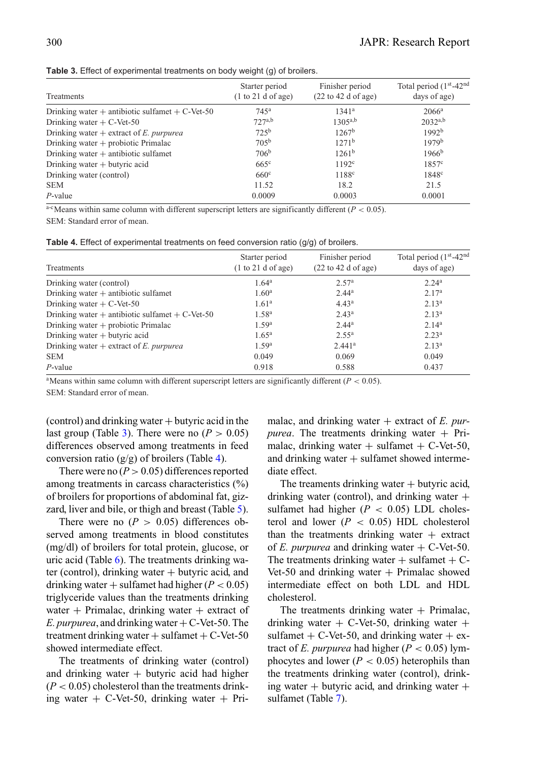<span id="page-5-0"></span>

|  |  | Table 3. Effect of experimental treatments on body weight (g) of broilers. |  |  |  |  |
|--|--|----------------------------------------------------------------------------|--|--|--|--|
|--|--|----------------------------------------------------------------------------|--|--|--|--|

| Treatments                                          | Starter period<br>(1 to 21 d of age) | Finisher period<br>$(22 \text{ to } 42 \text{ d of age})$ | Total period (1st-42 <sup>nd</sup><br>days of age) |
|-----------------------------------------------------|--------------------------------------|-----------------------------------------------------------|----------------------------------------------------|
| Drinking water $+$ antibiotic sulfamet $+$ C-Vet-50 | 745 <sup>a</sup>                     | $1341^a$                                                  | $2066^{\rm a}$                                     |
| Drinking water $+ C$ -Vet-50                        | 727a,b                               | $1305^{a,b}$                                              | $2032^{a,b}$                                       |
| Drinking water $+$ extract of E. purpurea           | 72.5 <sup>b</sup>                    | $1267^{\rm b}$                                            | 1992 <sup>b</sup>                                  |
| Drinking water $+$ probiotic Primalac               | $70.5^{b}$                           | 1271 <sup>b</sup>                                         | 1979 <sup>b</sup>                                  |
| Drinking water $+$ antibiotic sulfamet              | 706 <sup>b</sup>                     | $1261^b$                                                  | $1966^b$                                           |
| Drinking water $+$ butyric acid                     | $665^\circ$                          | 1192 <sup>c</sup>                                         | 1857 <sup>c</sup>                                  |
| Drinking water (control)                            | $660^\circ$                          | 1188 <sup>c</sup>                                         | 1848 <sup>c</sup>                                  |
| <b>SEM</b>                                          | 11.52                                | 18.2                                                      | 21.5                                               |
| $P$ -value                                          | 0.0009                               | 0.0003                                                    | 0.0001                                             |

a-cMeans within same column with different superscript letters are significantly different ( $P < 0.05$ ). SEM: Standard error of mean.

<span id="page-5-1"></span>

|  |  | Table 4. Effect of experimental treatments on feed conversion ratio $(g/g)$ of broilers. |  |  |  |  |  |  |
|--|--|------------------------------------------------------------------------------------------|--|--|--|--|--|--|
|--|--|------------------------------------------------------------------------------------------|--|--|--|--|--|--|

| Treatments                                         | Starter period<br>(1 to 21 d of age) | Finisher period<br>$(22 \text{ to } 42 \text{ d of age})$ | Total period (1 <sup>st</sup> -42 <sup>nd</sup> )<br>days of age) |
|----------------------------------------------------|--------------------------------------|-----------------------------------------------------------|-------------------------------------------------------------------|
| Drinking water (control)                           | $1.64^a$                             | 2.57 <sup>a</sup>                                         | 2.24 <sup>a</sup>                                                 |
| Drinking water $+$ antibiotic sulfamet             | 1.60 <sup>a</sup>                    | 2.44 <sup>a</sup>                                         | 2.17 <sup>a</sup>                                                 |
| Drinking water $+ C$ -Vet-50                       | 1.61 <sup>a</sup>                    | $4.43^a$                                                  | 2.13 <sup>a</sup>                                                 |
| Drinking water + antibiotic sulfamet + $C$ -Vet-50 | 1.58 <sup>a</sup>                    | $2.43^a$                                                  | 2.13 <sup>a</sup>                                                 |
| Drinking water $+$ probiotic Primalac              | 1.59 <sup>a</sup>                    | $2.44^a$                                                  | 2.14 <sup>a</sup>                                                 |
| Drinking water $+$ butyric acid                    | $1.65^{\rm a}$                       | $2.55^{\rm a}$                                            | 2.23 <sup>a</sup>                                                 |
| Drinking water $+$ extract of E. purpurea          | 1.59 <sup>a</sup>                    | 2.441 <sup>a</sup>                                        | 2.13 <sup>a</sup>                                                 |
| <b>SEM</b>                                         | 0.049                                | 0.069                                                     | 0.049                                                             |
| $P$ -value                                         | 0.918                                | 0.588                                                     | 0.437                                                             |

<sup>a</sup>Means within same column with different superscript letters are significantly different ( $P < 0.05$ ).

SEM: Standard error of mean.

 $(control)$  and drinking water  $+$  butyric acid in the last group (Table [3\)](#page-5-0). There were no  $(P > 0.05)$ differences observed among treatments in feed conversion ratio  $(g/g)$  of broilers (Table [4\)](#page-5-1).

There were no  $(P > 0.05)$  differences reported among treatments in carcass characteristics (%) of broilers for proportions of abdominal fat, gizzard, liver and bile, or thigh and breast (Table [5\)](#page-6-0).

There were no  $(P > 0.05)$  differences observed among treatments in blood constitutes (mg/dl) of broilers for total protein, glucose, or uric acid (Table [6\)](#page-6-1). The treatments drinking water (control), drinking water  $+$  butyric acid, and drinking water  $+$  sulfamet had higher ( $P < 0.05$ ) triglyceride values than the treatments drinking water + Primalac, drinking water + extract of *E. purpurea*, and drinking water  $+C$ -Vet-50. The treatment drinking water  $+$  sulfamet  $+$  C-Vet-50 showed intermediate effect.

The treatments of drinking water (control) and drinking water  $+$  butyric acid had higher  $(P < 0.05)$  cholesterol than the treatments drinking water  $+$  C-Vet-50, drinking water  $+$  Primalac, and drinking water + extract of *E. purpurea*. The treatments drinking water  $+$  Primalac, drinking water  $+$  sulfamet  $+$  C-Vet-50, and drinking water  $+$  sulfamet showed intermediate effect.

The treaments drinking water  $+$  butyric acid, drinking water (control), and drinking water  $+$ sulfamet had higher  $(P < 0.05)$  LDL cholesterol and lower  $(P < 0.05)$  HDL cholesterol than the treatments drinking water  $+$  extract of *E. purpurea* and drinking water  $+ C$ -Vet-50. The treatments drinking water  $+$  sulfamet  $+$  C-Vet-50 and drinking water  $+$  Primalac showed intermediate effect on both LDL and HDL cholesterol.

The treatments drinking water  $+$  Primalac, drinking water  $+$  C-Vet-50, drinking water  $+$ sulfamet  $+ C$ -Vet-50, and drinking water  $+ c$ xtract of *E. purpurea* had higher ( $P < 0.05$ ) lymphocytes and lower  $(P < 0.05)$  heterophils than the treatments drinking water (control), drinking water  $+$  butyric acid, and drinking water  $+$ sulfamet (Table [7\)](#page-6-2).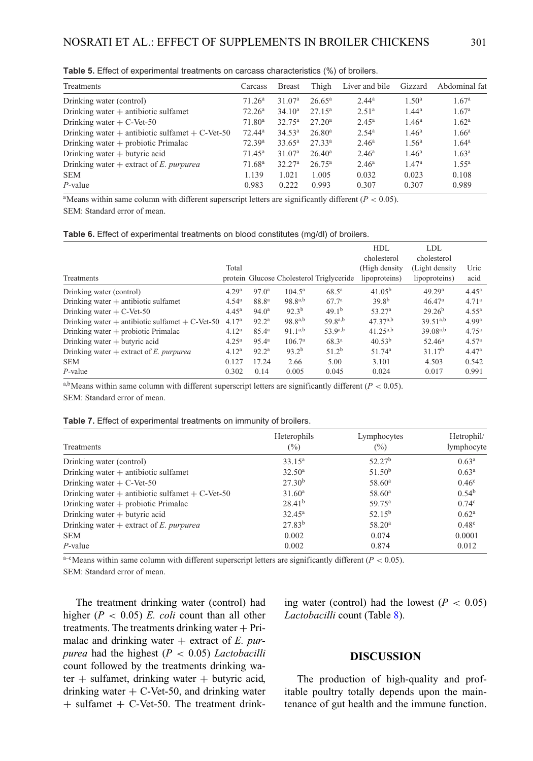| Treatments                                         | Carcass            | <b>Breast</b>      | Thigh              | Liver and bile    | Gizzard           | Abdominal fat     |
|----------------------------------------------------|--------------------|--------------------|--------------------|-------------------|-------------------|-------------------|
| Drinking water (control)                           | 71.26 <sup>a</sup> | 31.07 <sup>a</sup> | $26.65^{\rm a}$    | $2.44^a$          | 1.50 <sup>a</sup> | 1.67 <sup>a</sup> |
| Drinking water $+$ antibiotic sulfamet             | 72.26 <sup>a</sup> | 34.10 <sup>a</sup> | $27.15^a$          | 2.51 <sup>a</sup> | $1.44^a$          | 1.67 <sup>a</sup> |
| Drinking water $+ C$ -Vet-50                       | 71.80 <sup>a</sup> | $32.75^{\rm a}$    | 27.20 <sup>a</sup> | $2.45^{\rm a}$    | 1.46 <sup>a</sup> | 1.62 <sup>a</sup> |
| Drinking water + antibiotic sulfamet + $C$ -Vet-50 | 72.44 <sup>a</sup> | $34.53^{\rm a}$    | 26.80 <sup>a</sup> | $2.54^{\rm a}$    | 1.46 <sup>a</sup> | 1.66 <sup>a</sup> |
| Drinking water $+$ probiotic Primalac              | 72.39 <sup>a</sup> | $33.65^{\rm a}$    | 27.33 <sup>a</sup> | 2.46 <sup>a</sup> | 1.56 <sup>a</sup> | $1.64^{\rm a}$    |
| Drinking water $+$ butyric acid                    | $71.45^{\rm a}$    | 31.07 <sup>a</sup> | 26.40 <sup>a</sup> | $2.46^{\rm a}$    | 1.46 <sup>a</sup> | 1.63 <sup>a</sup> |
| Drinking water $+$ extract of E, purpured          | 71.68 <sup>a</sup> | 32.27 <sup>a</sup> | $26.75^{\rm a}$    | $2.46^{\rm a}$    | 1.47 <sup>a</sup> | $1.55^{\rm a}$    |
| <b>SEM</b>                                         | 1.139              | 1.021              | 1.005              | 0.032             | 0.023             | 0.108             |
| $P$ -value                                         | 0.983              | 0.222              | 0.993              | 0.307             | 0.307             | 0.989             |

<span id="page-6-0"></span>**Table 5.** Effect of experimental treatments on carcass characteristics (%) of broilers.

<sup>a</sup>Means within same column with different superscript letters are significantly different ( $P < 0.05$ ). SEM: Standard error of mean.

<span id="page-6-1"></span>

|  |  | Table 6. Effect of experimental treatments on blood constitutes (mg/dl) of broilers. |  |  |  |  |  |
|--|--|--------------------------------------------------------------------------------------|--|--|--|--|--|
|--|--|--------------------------------------------------------------------------------------|--|--|--|--|--|

| Treatments                                         | Total             |                   |                    | protein Glucose Cholesterol Triglyceride | <b>HDL</b><br>cholesterol<br>(High density)<br>lipoproteins) | LDL<br>cholesterol<br>(Light density)<br>lipoproteins) | Uric<br>acid      |
|----------------------------------------------------|-------------------|-------------------|--------------------|------------------------------------------|--------------------------------------------------------------|--------------------------------------------------------|-------------------|
| Drinking water (control)                           | 4.29 <sup>a</sup> | $97.0^a$          | $104.5^{\rm a}$    | $68.5^{\circ}$                           | $41.05^{\rm b}$                                              | 49.29 <sup>a</sup>                                     | $4.45^{\rm a}$    |
| Drinking water $+$ antibiotic sulfamet             | 4.54 <sup>a</sup> | 88.8 <sup>a</sup> | $98.8^{a,b}$       | 67.7 <sup>a</sup>                        | $39.8^{b}$                                                   | 46.47 <sup>a</sup>                                     | 4.71 <sup>a</sup> |
| Drinking water $+ C$ -Vet-50                       | $4.45^{\rm a}$    | 94.0 <sup>a</sup> | $92.3^{b}$         | 49.1 <sup>b</sup>                        | 53.27 <sup>a</sup>                                           | $29.26^{b}$                                            | $4.55^{\rm a}$    |
| Drinking water + antibiotic sulfamet + $C$ -Vet-50 | 4.17 <sup>a</sup> | 92.2 <sup>a</sup> | $98.8^{a,b}$       | $59g^{a,b}$                              | $47,37^{a,b}$                                                | $39.51^{a,b}$                                          | 4.99 <sup>a</sup> |
| Drinking water $+$ probiotic Primalac              | 4.12 <sup>a</sup> | $85.4^{\circ}$    | $91.1^{a,b}$       | $53.9^{a,b}$                             | $41.25^{a,b}$                                                | $39.08^{a,b}$                                          | 4.75 <sup>a</sup> |
| Drinking water $+$ butyric acid                    | $4.25^{\rm a}$    | $95.4^{\rm a}$    | 106.7 <sup>a</sup> | $68.3^{a}$                               | $40.53^{b}$                                                  | $52.46^a$                                              | 4.57 <sup>a</sup> |
| Drinking water $+$ extract of E, purpurea          | 4.12 <sup>a</sup> | 92.2 <sup>a</sup> | $93.2^{b}$         | 51.2 <sup>b</sup>                        | 51.74 <sup>a</sup>                                           | 31.17 <sup>b</sup>                                     | 4.47 <sup>a</sup> |
| <b>SEM</b>                                         | 0.127             | 17.24             | 2.66               | 5.00                                     | 3.101                                                        | 4.503                                                  | 0.542             |
| $P$ -value                                         | 0.302             | 0.14              | 0.005              | 0.045                                    | 0.024                                                        | 0.017                                                  | 0.991             |

a,b<sub>Means</sub> within same column with different superscript letters are significantly different ( $P < 0.05$ ). SEM: Standard error of mean.

<span id="page-6-2"></span>

| Treatments                                          | Heterophils<br>$(\%)$ | Lymphocytes<br>$\frac{6}{2}$ | Hetrophil/<br>lymphocyte |
|-----------------------------------------------------|-----------------------|------------------------------|--------------------------|
| Drinking water (control)                            | $33.15^a$             | 52.27 <sup>b</sup>           | 0.63 <sup>a</sup>        |
| Drinking water $+$ antibiotic sulfamet              | $32.50^a$             | 51.50 <sup>b</sup>           | 0.63 <sup>a</sup>        |
| Drinking water $+ C$ -Vet-50                        | 27.30 <sup>b</sup>    | 58.60 <sup>a</sup>           | 0.46 <sup>c</sup>        |
| Drinking water $+$ antibiotic sulfamet $+$ C-Vet-50 | $31.60^a$             | $58.60^{\rm a}$              | $0.54^{b}$               |
| Drinking water $+$ probiotic Primalac               | $28.41^{b}$           | $59.75^{\rm a}$              | $0.74^{\circ}$           |
| Drinking water $+$ butyric acid                     | $32.45^{\rm a}$       | $52.15^{b}$                  | 0.62 <sup>a</sup>        |
| Drinking water $+$ extract of E. purpurea           | $27.83^{b}$           | 58.20 <sup>a</sup>           | $0.48^{\circ}$           |
| <b>SEM</b>                                          | 0.002                 | 0.074                        | 0.0001                   |
| $P$ -value                                          | 0.002                 | 0.874                        | 0.012                    |

 $a-e$  Means within same column with different superscript letters are significantly different ( $P < 0.05$ ).

SEM: Standard error of mean.

The treatment drinking water (control) had higher (*P* < 0.05) *E. coli* count than all other treatments. The treatments drinking water  $+$  Primalac and drinking water + extract of *E. purpurea* had the highest (*P* < 0.05) *Lactobacilli* count followed by the treatments drinking water  $+$  sulfamet, drinking water  $+$  butyric acid, drinking water  $+ C$ -Vet-50, and drinking water  $+$  sulfamet  $+$  C-Vet-50. The treatment drinking water (control) had the lowest  $(P < 0.05)$ *Lactobacilli* count (Table [8\)](#page-7-0).

## **DISCUSSION**

The production of high-quality and profitable poultry totally depends upon the maintenance of gut health and the immune function.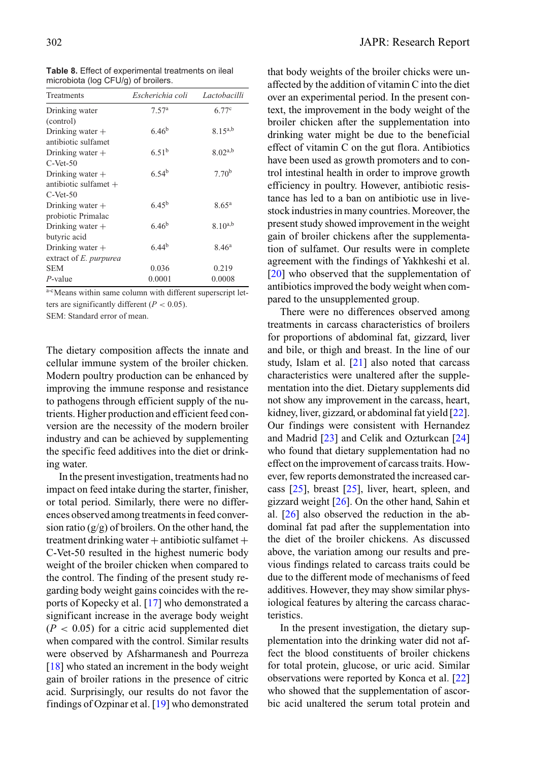<span id="page-7-0"></span>

| Table 8. Effect of experimental treatments on ileal |  |
|-----------------------------------------------------|--|
| microbiota (log CFU/g) of broilers.                 |  |

| Treatments                    | Escherichia coli  | Lactobacilli      |
|-------------------------------|-------------------|-------------------|
| Drinking water                | 7.57 <sup>a</sup> | 6.77c             |
| (control)                     |                   |                   |
| Drinking water $+$            | $6.46^{b}$        | $8.15^{a,b}$      |
| antibiotic sulfamet           |                   |                   |
| Drinking water $+$            | 6.51 <sup>b</sup> | $8.02^{a,b}$      |
| $C-Net-50$                    |                   |                   |
| Drinking water $+$            | 6.54 <sup>b</sup> | 7.70 <sup>b</sup> |
| antibiotic sulfamet $+$       |                   |                   |
| $C-Net-50$                    |                   |                   |
| Drinking water $+$            | $6.45^{b}$        | $8.65^{\rm a}$    |
| probiotic Primalac            |                   |                   |
| Drinking water $+$            | 6.46 <sup>b</sup> | $8.10^{a,b}$      |
| butyric acid                  |                   |                   |
| Drinking water $+$            | 6.44 <sup>b</sup> | 8.46 <sup>a</sup> |
| extract of <i>E. purpurea</i> |                   |                   |
| <b>SEM</b>                    | 0.036             | 0.219             |
| P-value                       | 0.0001            | 0.0008            |

a-cMeans within same column with different superscript letters are significantly different  $(P < 0.05)$ .

SEM: Standard error of mean.

The dietary composition affects the innate and cellular immune system of the broiler chicken. Modern poultry production can be enhanced by improving the immune response and resistance to pathogens through efficient supply of the nutrients. Higher production and efficient feed conversion are the necessity of the modern broiler industry and can be achieved by supplementing the specific feed additives into the diet or drinking water.

In the present investigation, treatments had no impact on feed intake during the starter, finisher, or total period. Similarly, there were no differences observed among treatments in feed conversion ratio  $(g/g)$  of broilers. On the other hand, the treatment drinking water  $+$  antibiotic sulfamet  $+$ C-Vet-50 resulted in the highest numeric body weight of the broiler chicken when compared to the control. The finding of the present study regarding body weight gains coincides with the reports of Kopecky et al. [\[17\]](#page-10-3) who demonstrated a significant increase in the average body weight  $(P < 0.05)$  for a citric acid supplemented diet when compared with the control. Similar results were observed by Afsharmanesh and Pourreza [\[18\]](#page-10-4) who stated an increment in the body weight gain of broiler rations in the presence of citric acid. Surprisingly, our results do not favor the findings of Ozpinar et al. [\[19\]](#page-10-5) who demonstrated that body weights of the broiler chicks were unaffected by the addition of vitamin C into the diet over an experimental period. In the present context, the improvement in the body weight of the broiler chicken after the supplementation into drinking water might be due to the beneficial effect of vitamin C on the gut flora. Antibiotics have been used as growth promoters and to control intestinal health in order to improve growth efficiency in poultry. However, antibiotic resistance has led to a ban on antibiotic use in livestock industries in many countries. Moreover, the present study showed improvement in the weight gain of broiler chickens after the supplementation of sulfamet. Our results were in complete agreement with the findings of Yakhkeshi et al. [\[20\]](#page-10-6) who observed that the supplementation of antibiotics improved the body weight when compared to the unsupplemented group.

There were no differences observed among treatments in carcass characteristics of broilers for proportions of abdominal fat, gizzard, liver and bile, or thigh and breast. In the line of our study, Islam et al. [\[21\]](#page-10-7) also noted that carcass characteristics were unaltered after the supplementation into the diet. Dietary supplements did not show any improvement in the carcass, heart, kidney, liver, gizzard, or abdominal fat yield [\[22\]](#page-10-8). Our findings were consistent with Hernandez and Madrid [\[23\]](#page-10-9) and Celik and Ozturkcan [\[24\]](#page-10-10) who found that dietary supplementation had no effect on the improvement of carcass traits. However, few reports demonstrated the increased carcass  $[25]$ , breast  $[25]$ , liver, heart, spleen, and gizzard weight [\[26\]](#page-10-12). On the other hand, Sahin et al. [\[26\]](#page-10-12) also observed the reduction in the abdominal fat pad after the supplementation into the diet of the broiler chickens. As discussed above, the variation among our results and previous findings related to carcass traits could be due to the different mode of mechanisms of feed additives. However, they may show similar physiological features by altering the carcass characteristics.

In the present investigation, the dietary supplementation into the drinking water did not affect the blood constituents of broiler chickens for total protein, glucose, or uric acid. Similar observations were reported by Konca et al. [\[22\]](#page-10-8) who showed that the supplementation of ascorbic acid unaltered the serum total protein and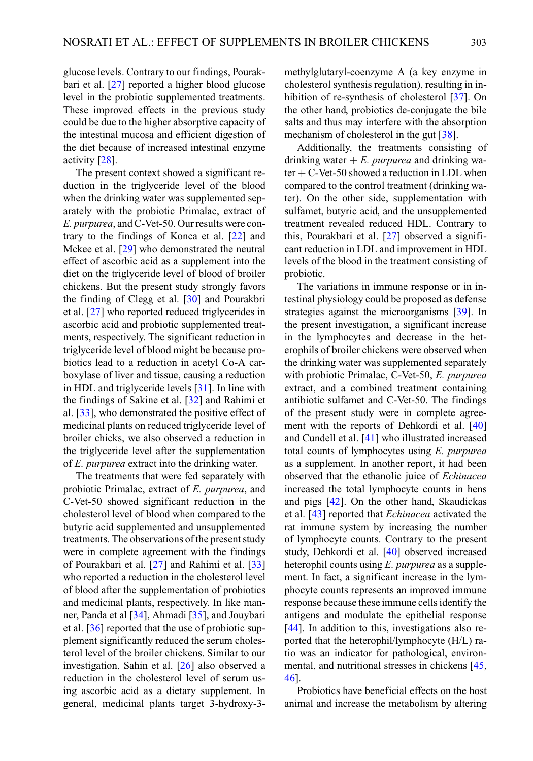glucose levels. Contrary to our findings, Pourakbari et al. [\[27\]](#page-10-13) reported a higher blood glucose level in the probiotic supplemented treatments. These improved effects in the previous study could be due to the higher absorptive capacity of the intestinal mucosa and efficient digestion of the diet because of increased intestinal enzyme activity [\[28\]](#page-10-14).

The present context showed a significant reduction in the triglyceride level of the blood when the drinking water was supplemented separately with the probiotic Primalac, extract of *E. purpurea*, and C-Vet-50. Our results were contrary to the findings of Konca et al. [\[22\]](#page-10-8) and Mckee et al. [\[29\]](#page-10-15) who demonstrated the neutral effect of ascorbic acid as a supplement into the diet on the triglyceride level of blood of broiler chickens. But the present study strongly favors the finding of Clegg et al. [\[30\]](#page-10-16) and Pourakbri et al. [\[27\]](#page-10-13) who reported reduced triglycerides in ascorbic acid and probiotic supplemented treatments, respectively. The significant reduction in triglyceride level of blood might be because probiotics lead to a reduction in acetyl Co-A carboxylase of liver and tissue, causing a reduction in HDL and triglyceride levels [\[31\]](#page-10-17). In line with the findings of Sakine et al. [\[32\]](#page-10-18) and Rahimi et al. [\[33\]](#page-10-19), who demonstrated the positive effect of medicinal plants on reduced triglyceride level of broiler chicks, we also observed a reduction in the triglyceride level after the supplementation of *E. purpurea* extract into the drinking water.

The treatments that were fed separately with probiotic Primalac, extract of *E. purpurea*, and C-Vet-50 showed significant reduction in the cholesterol level of blood when compared to the butyric acid supplemented and unsupplemented treatments. The observations of the present study were in complete agreement with the findings of Pourakbari et al. [\[27\]](#page-10-13) and Rahimi et al. [\[33\]](#page-10-19) who reported a reduction in the cholesterol level of blood after the supplementation of probiotics and medicinal plants, respectively. In like manner, Panda et al [\[34\]](#page-10-20), Ahmadi [\[35\]](#page-10-21), and Jouybari et al. [\[36\]](#page-10-22) reported that the use of probiotic supplement significantly reduced the serum cholesterol level of the broiler chickens. Similar to our investigation, Sahin et al. [\[26\]](#page-10-12) also observed a reduction in the cholesterol level of serum using ascorbic acid as a dietary supplement. In general, medicinal plants target 3-hydroxy-3methylglutaryl-coenzyme A (a key enzyme in cholesterol synthesis regulation), resulting in in-hibition of re-synthesis of cholesterol [\[37\]](#page-10-23). On the other hand, probiotics de-conjugate the bile salts and thus may interfere with the absorption mechanism of cholesterol in the gut [\[38\]](#page-10-24).

Additionally, the treatments consisting of drinking water  $+ E$ . *purpurea* and drinking water  $+ C$ -Vet-50 showed a reduction in LDL when compared to the control treatment (drinking water). On the other side, supplementation with sulfamet, butyric acid, and the unsupplemented treatment revealed reduced HDL. Contrary to this, Pourakbari et al. [\[27\]](#page-10-13) observed a significant reduction in LDL and improvement in HDL levels of the blood in the treatment consisting of probiotic.

The variations in immune response or in intestinal physiology could be proposed as defense strategies against the microorganisms [\[39\]](#page-10-25). In the present investigation, a significant increase in the lymphocytes and decrease in the heterophils of broiler chickens were observed when the drinking water was supplemented separately with probiotic Primalac, C-Vet-50, *E. purpurea* extract, and a combined treatment containing antibiotic sulfamet and C-Vet-50. The findings of the present study were in complete agreement with the reports of Dehkordi et al. [\[40\]](#page-10-26) and Cundell et al. [\[41\]](#page-10-27) who illustrated increased total counts of lymphocytes using *E. purpurea* as a supplement. In another report, it had been observed that the ethanolic juice of *Echinacea* increased the total lymphocyte counts in hens and pigs [\[42\]](#page-10-28). On the other hand, Skaudickas et al. [\[43\]](#page-10-29) reported that *Echinacea* activated the rat immune system by increasing the number of lymphocyte counts. Contrary to the present study, Dehkordi et al. [\[40\]](#page-10-26) observed increased heterophil counts using *E. purpurea* as a supplement. In fact, a significant increase in the lymphocyte counts represents an improved immune response because these immune cells identify the antigens and modulate the epithelial response [\[44\]](#page-11-0). In addition to this, investigations also reported that the heterophil/lymphocyte (H/L) ratio was an indicator for pathological, environmental, and nutritional stresses in chickens [\[45,](#page-11-1) [46\]](#page-11-2).

Probiotics have beneficial effects on the host animal and increase the metabolism by altering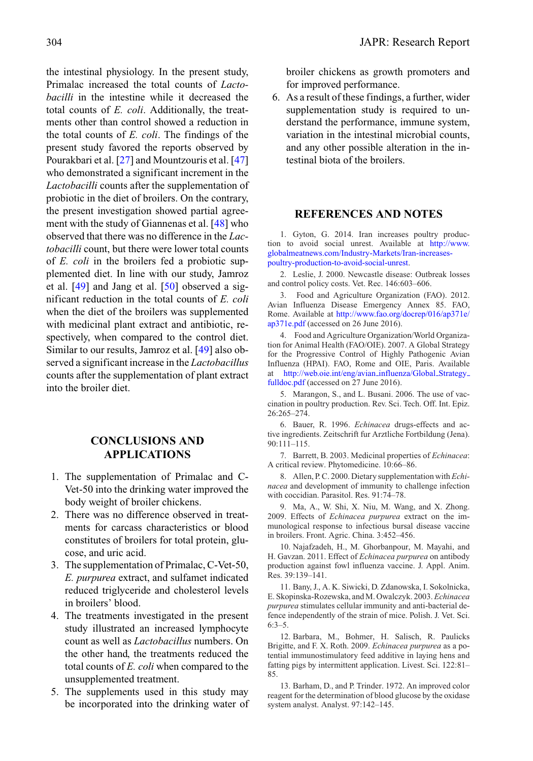the intestinal physiology. In the present study, Primalac increased the total counts of *Lactobacilli* in the intestine while it decreased the total counts of *E. coli*. Additionally, the treatments other than control showed a reduction in the total counts of *E. coli*. The findings of the present study favored the reports observed by Pourakbari et al. [\[27\]](#page-10-13) and Mountzouris et al. [\[47\]](#page-11-3) who demonstrated a significant increment in the *Lactobacilli* counts after the supplementation of probiotic in the diet of broilers. On the contrary, the present investigation showed partial agreement with the study of Giannenas et al. [\[48\]](#page-11-4) who observed that there was no difference in the *Lactobacilli* count, but there were lower total counts of *E. coli* in the broilers fed a probiotic supplemented diet. In line with our study, Jamroz et al. [\[49\]](#page-11-5) and Jang et al. [\[50\]](#page-11-6) observed a significant reduction in the total counts of *E. coli* when the diet of the broilers was supplemented with medicinal plant extract and antibiotic, respectively, when compared to the control diet. Similar to our results, Jamroz et al. [\[49\]](#page-11-5) also observed a significant increase in the *Lactobacillus* counts after the supplementation of plant extract into the broiler diet.

# **CONCLUSIONS AND APPLICATIONS**

- 1. The supplementation of Primalac and C-Vet-50 into the drinking water improved the body weight of broiler chickens.
- 2. There was no difference observed in treatments for carcass characteristics or blood constitutes of broilers for total protein, glucose, and uric acid.
- 3. The supplementation of Primalac, C-Vet-50, *E. purpurea* extract, and sulfamet indicated reduced triglyceride and cholesterol levels in broilers' blood.
- 4. The treatments investigated in the present study illustrated an increased lymphocyte count as well as *Lactobacillus* numbers. On the other hand, the treatments reduced the total counts of *E. coli* when compared to the unsupplemented treatment.
- 5. The supplements used in this study may be incorporated into the drinking water of

broiler chickens as growth promoters and for improved performance.

6. As a result of these findings, a further, wider supplementation study is required to understand the performance, immune system, variation in the intestinal microbial counts, and any other possible alteration in the intestinal biota of the broilers.

# **REFERENCES AND NOTES**

<span id="page-9-0"></span>1. Gyton, G. 2014. Iran increases poultry production to avoid social unrest. Available at [http://www.](http://www.globalmeatnews.com/Industry-Markets/Iran-increases-poultry-production-to-avoid-social-unrest) [globalmeatnews.com/Industry-Markets/Iran-increases](http://www.globalmeatnews.com/Industry-Markets/Iran-increases-poultry-production-to-avoid-social-unrest)[poultry-production-to-avoid-social-unrest.](http://www.globalmeatnews.com/Industry-Markets/Iran-increases-poultry-production-to-avoid-social-unrest)

2. Leslie, J. 2000. Newcastle disease: Outbreak losses and control policy costs. Vet. Rec. 146:603–606.

3. Food and Agriculture Organization (FAO). 2012. Avian Influenza Disease Emergency Annex 85. FAO, Rome. Available at [http://www.fao.org/docrep/016/ap371e/](http://www.fao.org/docrep/016/ap371e/ap371e.pdf) [ap371e.pdf](http://www.fao.org/docrep/016/ap371e/ap371e.pdf) (accessed on 26 June 2016).

4. Food and Agriculture Organization/World Organization for Animal Health (FAO/OIE). 2007. A Global Strategy for the Progressive Control of Highly Pathogenic Avian Influenza (HPAI). FAO, Rome and OIE, Paris. Available at [http://web.oie.int/eng/avian](http://web.oie.int/eng/avian_influenza/Globalprotect global let OT1	extunderscore unhbox voidb@x kern .06emvbox {hrule width.3em}OT1	extunderscore Strategyprotect global let OT1	extunderscore unhbox voidb@x kern .06emvbox {hrule width.3em}OT1	extunderscore fulldoc.pdf) influenza/Global Strategy [fulldoc.pdf](http://web.oie.int/eng/avian_influenza/Globalprotect global let OT1	extunderscore unhbox voidb@x kern .06emvbox {hrule width.3em}OT1	extunderscore Strategyprotect global let OT1	extunderscore unhbox voidb@x kern .06emvbox {hrule width.3em}OT1	extunderscore fulldoc.pdf) (accessed on 27 June 2016).

<span id="page-9-1"></span>5. Marangon, S., and L. Busani. 2006. The use of vaccination in poultry production. Rev. Sci. Tech. Off. Int. Epiz. 26:265–274.

<span id="page-9-2"></span>6. Bauer, R. 1996. *Echinacea* drugs-effects and active ingredients. Zeitschrift fur Arztliche Fortbildung (Jena). 90:111–115.

<span id="page-9-3"></span>7. Barrett, B. 2003. Medicinal properties of *Echinacea*: A critical review. Phytomedicine. 10:66–86.

<span id="page-9-4"></span>8. Allen, P. C. 2000. Dietary supplementation with *Echinacea* and development of immunity to challenge infection with coccidian. Parasitol. Res. 91:74–78.

<span id="page-9-5"></span>9. Ma, A., W. Shi, X. Niu, M. Wang, and X. Zhong. 2009. Effects of *Echinacea purpurea* extract on the immunological response to infectious bursal disease vaccine in broilers. Front. Agric. China. 3:452–456.

<span id="page-9-6"></span>10. Najafzadeh, H., M. Ghorbanpour, M. Mayahi, and H. Gavzan. 2011. Effect of *Echinacea purpurea* on antibody production against fowl influenza vaccine. J. Appl. Anim. Res. 39:139–141.

<span id="page-9-7"></span>11. Bany, J., A. K. Siwicki, D. Zdanowska, I. Sokolnicka, E. Skopinska-Rozewska, and M. Owalczyk. 2003.*Echinacea purpurea* stimulates cellular immunity and anti-bacterial defence independently of the strain of mice. Polish. J. Vet. Sci. 6:3–5.

<span id="page-9-8"></span>12. Barbara, M., Bohmer, H. Salisch, R. Paulicks Brigitte, and F. X. Roth. 2009. *Echinacea purpurea* as a potential immunostimulatory feed additive in laying hens and fatting pigs by intermittent application. Livest. Sci. 122:81– 85.

<span id="page-9-9"></span>13. Barham, D., and P. Trinder. 1972. An improved color reagent for the determination of blood glucose by the oxidase system analyst. Analyst. 97:142–145.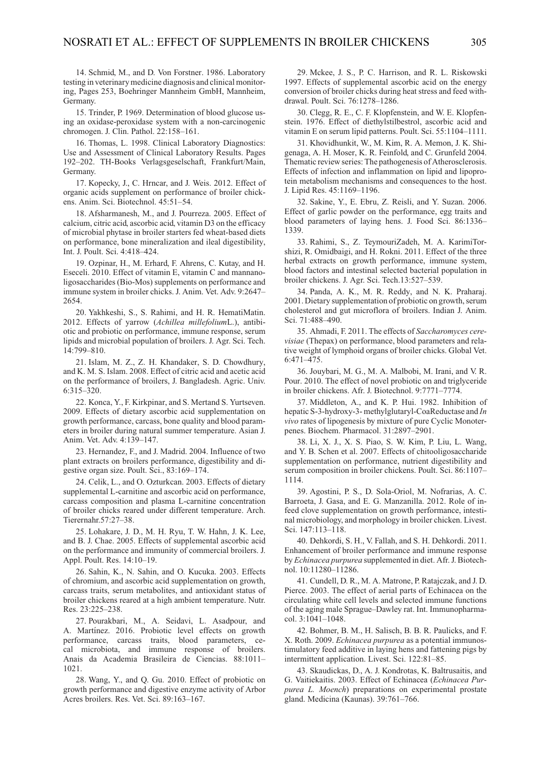<span id="page-10-0"></span>14. Schmid, M., and D. Von Forstner. 1986. Laboratory testing in veterinary medicine diagnosis and clinical monitoring, Pages 253, Boehringer Mannheim GmbH, Mannheim, Germany.

<span id="page-10-1"></span>15. Trinder, P. 1969. Determination of blood glucose using an oxidase-peroxidase system with a non-carcinogenic chromogen. J. Clin. Pathol. 22:158–161.

<span id="page-10-2"></span>16. Thomas, L. 1998. Clinical Laboratory Diagnostics: Use and Assessment of Clinical Laboratory Results. Pages 192–202. TH-Books Verlagsgeselschaft, Frankfurt/Main, Germany.

<span id="page-10-3"></span>17. Kopecky, J., C. Hrncar, and J. Weis. 2012. Effect of organic acids supplement on performance of broiler chickens. Anim. Sci. Biotechnol. 45:51–54.

<span id="page-10-4"></span>18. Afsharmanesh, M., and J. Pourreza. 2005. Effect of calcium, citric acid, ascorbic acid, vitamin D3 on the efficacy of microbial phytase in broiler starters fed wheat-based diets on performance, bone mineralization and ileal digestibility, Int. J. Poult. Sci. 4:418–424.

<span id="page-10-5"></span>19. Ozpinar, H., M. Erhard, F. Ahrens, C. Kutay, and H. Eseceli. 2010. Effect of vitamin E, vitamin C and mannanoligosaccharides (Bio-Mos) supplements on performance and immune system in broiler chicks. J. Anim. Vet. Adv. 9:2647– 2654.

<span id="page-10-6"></span>20. Yakhkeshi, S., S. Rahimi, and H. R. HematiMatin. 2012. Effects of yarrow (*Achillea millefolium*L.), antibiotic and probiotic on performance, immune response, serum lipids and microbial population of broilers. J. Agr. Sci. Tech. 14:799–810.

<span id="page-10-7"></span>21. Islam, M. Z., Z. H. Khandaker, S. D. Chowdhury, and K. M. S. Islam. 2008. Effect of citric acid and acetic acid on the performance of broilers, J. Bangladesh. Agric. Univ. 6:315–320.

<span id="page-10-8"></span>22. Konca, Y., F. Kirkpinar, and S. Mertand S. Yurtseven. 2009. Effects of dietary ascorbic acid supplementation on growth performance, carcass, bone quality and blood parameters in broiler during natural summer temperature. Asian J. Anim. Vet. Adv. 4:139–147.

<span id="page-10-9"></span>23. Hernandez, F., and J. Madrid. 2004. Influence of two plant extracts on broilers performance, digestibility and digestive organ size. Poult. Sci., 83:169–174.

<span id="page-10-10"></span>24. Celik, L., and O. Ozturkcan. 2003. Effects of dietary supplemental L-carnitine and ascorbic acid on performance, carcass composition and plasma L-carnitine concentration of broiler chicks reared under different temperature. Arch. Tierernahr.57:27–38.

<span id="page-10-11"></span>25. Lohakare, J. D., M. H. Ryu, T. W. Hahn, J. K. Lee, and B. J. Chae. 2005. Effects of supplemental ascorbic acid on the performance and immunity of commercial broilers. J. Appl. Poult. Res. 14:10–19.

<span id="page-10-12"></span>26. Sahin, K., N. Sahin, and O. Kucuka. 2003. Effects of chromium, and ascorbic acid supplementation on growth, carcass traits, serum metabolites, and antioxidant status of broiler chickens reared at a high ambient temperature. Nutr. Res. 23:225–238.

<span id="page-10-13"></span>27. Pourakbari, M., A. Seidavi, L. Asadpour, and A. Martínez. 2016. Probiotic level effects on growth performance, carcass traits, blood parameters, cecal microbiota, and immune response of broilers. Anais da Academia Brasileira de Ciencias. 88:1011– 1021.

<span id="page-10-14"></span>28. Wang, Y., and Q. Gu. 2010. Effect of probiotic on growth performance and digestive enzyme activity of Arbor Acres broilers. Res. Vet. Sci. 89:163–167.

<span id="page-10-15"></span>29. Mckee, J. S., P. C. Harrison, and R. L. Riskowski 1997. Effects of supplemental ascorbic acid on the energy conversion of broiler chicks during heat stress and feed withdrawal. Poult. Sci. 76:1278–1286.

<span id="page-10-16"></span>30. Clegg, R. E., C. F. Klopfenstein, and W. E. Klopfenstein. 1976. Effect of diethylstilbestrol, ascorbic acid and vitamin E on serum lipid patterns. Poult. Sci. 55:1104–1111.

<span id="page-10-17"></span>31. Khovidhunkit, W., M. Kim, R. A. Memon, J. K. Shigenaga, A. H. Moser, K. R. Feinfold, and C. Grunfeld 2004. Thematic review series: The pathogenesis of Atherosclerosis. Effects of infection and inflammation on lipid and lipoprotein metabolism mechanisms and consequences to the host. J. Lipid Res. 45:1169–1196.

<span id="page-10-18"></span>32. Sakine, Y., E. Ebru, Z. Reisli, and Y. Suzan. 2006. Effect of garlic powder on the performance, egg traits and blood parameters of laying hens. J. Food Sci. 86:1336– 1339.

<span id="page-10-19"></span>33. Rahimi, S., Z. TeymouriZadeh, M. A. KarimiTorshizi, R. Omidbaigi, and H. Rokni. 2011. Effect of the three herbal extracts on growth performance, immune system, blood factors and intestinal selected bacterial population in broiler chickens. J. Agr. Sci. Tech.13:527–539.

<span id="page-10-20"></span>34. Panda, A. K., M. R. Reddy, and N. K. Praharaj. 2001. Dietary supplementation of probiotic on growth, serum cholesterol and gut microflora of broilers. Indian J. Anim. Sci. 71:488–490.

<span id="page-10-21"></span>35. Ahmadi, F. 2011. The effects of *Saccharomyces cerevisiae* (Thepax) on performance, blood parameters and relative weight of lymphoid organs of broiler chicks. Global Vet. 6:471–475.

<span id="page-10-22"></span>36. Jouybari, M. G., M. A. Malbobi, M. Irani, and V. R. Pour. 2010. The effect of novel probiotic on and triglyceride in broiler chickens. Afr. J. Biotechnol. 9:7771–7774.

<span id="page-10-23"></span>37. Middleton, A., and K. P. Hui. 1982. Inhibition of hepatic S-3-hydroxy-3- methylglutaryl-CoaReductase and *In vivo* rates of lipogenesis by mixture of pure Cyclic Monoterpenes. Biochem. Pharmacol. 31:2897–2901.

<span id="page-10-24"></span>38. Li, X. J., X. S. Piao, S. W. Kim, P. Liu, L. Wang, and Y. B. Schen et al. 2007. Effects of chitooligosaccharide supplementation on performance, nutrient digestibility and serum composition in broiler chickens. Poult. Sci. 86:1107– 1114.

<span id="page-10-25"></span>39. Agostini, P. S., D. Sola-Oriol, M. Nofrarias, A. C. Barroeta, J. Gasa, and E. G. Manzanilla. 2012. Role of infeed clove supplementation on growth performance, intestinal microbiology, and morphology in broiler chicken. Livest. Sci. 147:113–118.

<span id="page-10-26"></span>40. Dehkordi, S. H., V. Fallah, and S. H. Dehkordi. 2011. Enhancement of broiler performance and immune response by *Echinacea purpurea* supplemented in diet. Afr. J. Biotechnol. 10:11280–11286.

<span id="page-10-27"></span>41. Cundell, D. R., M. A. Matrone, P. Ratajczak, and J. D. Pierce. 2003. The effect of aerial parts of Echinacea on the circulating white cell levels and selected immune functions of the aging male Sprague–Dawley rat. Int. Immunopharmacol. 3:1041–1048.

<span id="page-10-28"></span>42. Bohmer, B. M., H. Salisch, B. B. R. Paulicks, and F. X. Roth. 2009. *Echinacea purpurea* as a potential immunostimulatory feed additive in laying hens and fattening pigs by intermittent application. Livest. Sci. 122:81–85.

<span id="page-10-29"></span>43. Skaudickas, D., A. J. Kondrotas, K. Baltrusaitis, and G. Vaitiekaitis. 2003. Effect of Echinacea (*Echinacea Purpurea L. Moench*) preparations on experimental prostate gland. Medicina (Kaunas). 39:761–766.